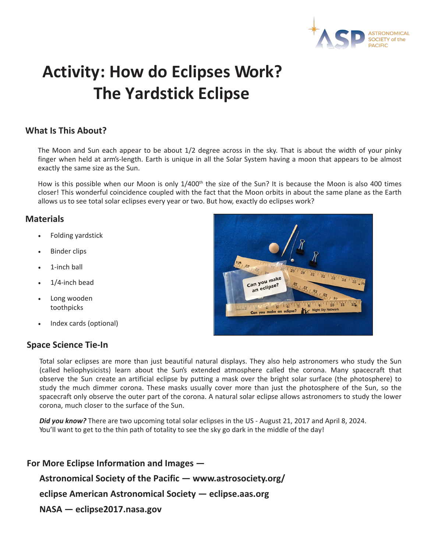

# **Activity: How do Eclipses Work? The Yardstick Eclipse**

## **What Is This About?**

The Moon and Sun each appear to be about 1/2 degree across in the sky. That is about the width of your pinky finger when held at arm's-length. Earth is unique in all the Solar System having a moon that appears to be almost exactly the same size as the Sun.

How is this possible when our Moon is only 1/400<sup>th</sup> the size of the Sun? It is because the Moon is also 400 times closer! This wonderful coincidence coupled with the fact that the Moon orbits in about the same plane as the Earth allows us to see total solar eclipses every year or two. But how, exactly do eclipses work?

#### **Materials**

- Folding yardstick
- **Binder clips**
- 1-inch ball
- 1/4-inch bead
- Long wooden toothpicks
- Index cards (optional)

#### **Space Science Tie-In**

Can you make eclipse?  $\frac{1}{10}$  $\frac{1}{4}$  or  $\frac{1}{5}$  or  $\frac{1}{6}$  or  $\frac{1}{7}$ ke an eclipse? Night Sky N

Total solar eclipses are more than just beautiful natural displays. They also help astronomers who study the Sun (called heliophysicists) learn about the Sun's extended atmosphere called the corona. Many spacecraft that observe the Sun create an artificial eclipse by putting a mask over the bright solar surface (the photosphere) to study the much dimmer corona. These masks usually cover more than just the photosphere of the Sun, so the spacecraft only observe the outer part of the corona. A natural solar eclipse allows astronomers to study the lower corona, much closer to the surface of the Sun.

*Did you know?* There are two upcoming total solar eclipses in the US - August 21, 2017 and April 8, 2024. You'll want to get to the thin path of totality to see the sky go dark in the middle of the day!

**For More Eclipse Information and Images — Astronomical Society of the Pacific — www.astrosociety.org/ eclipse American Astronomical Society — eclipse.aas.org NASA — eclipse2017.nasa.gov**